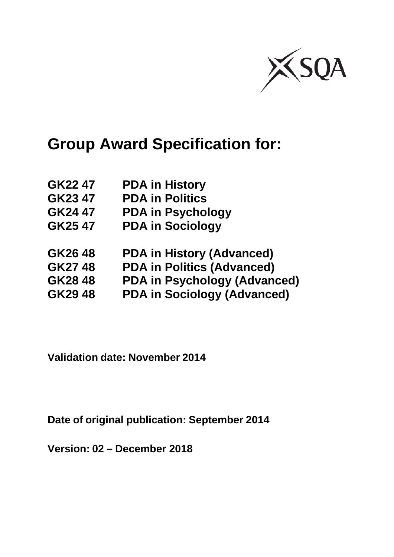

# **Group Award Specification for:**

| GK22 47 | <b>PDA in History</b>               |
|---------|-------------------------------------|
| GK23 47 | <b>PDA in Politics</b>              |
| GK24 47 | <b>PDA in Psychology</b>            |
| GK25 47 | <b>PDA in Sociology</b>             |
| GK2648  | <b>PDA in History (Advanced)</b>    |
| GK2748  | <b>PDA in Politics (Advanced)</b>   |
| GK2848  | <b>PDA in Psychology (Advanced)</b> |
| GK2948  | <b>PDA in Sociology (Advanced)</b>  |
|         |                                     |

**Validation date: November 2014**

**Date of original publication: September 2014**

**Version: 02 – December 2018**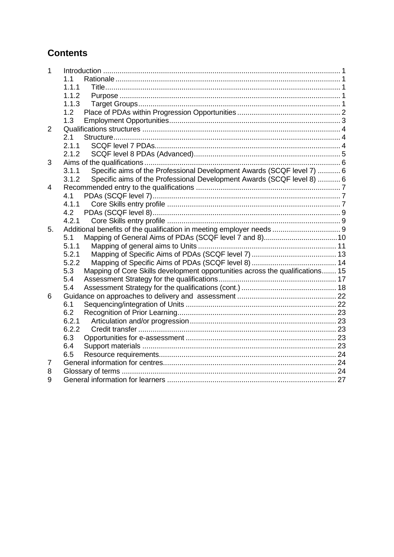## **Contents**

| 1              |                                                                                      |  |
|----------------|--------------------------------------------------------------------------------------|--|
|                | 1.1                                                                                  |  |
|                | 1.1.1                                                                                |  |
|                | 1.1.2                                                                                |  |
|                | 1.1.3                                                                                |  |
|                | 1.2                                                                                  |  |
|                | 1.3                                                                                  |  |
| $\overline{2}$ |                                                                                      |  |
|                | 2.1                                                                                  |  |
|                | 2.1.1                                                                                |  |
|                | 2.1.2                                                                                |  |
| 3              |                                                                                      |  |
|                | Specific aims of the Professional Development Awards (SCQF level 7)  6<br>3.1.1      |  |
|                | Specific aims of the Professional Development Awards (SCQF level 8)  6<br>3.1.2      |  |
| 4              |                                                                                      |  |
|                | 4.1                                                                                  |  |
|                | 4.1.1                                                                                |  |
|                | 4.2                                                                                  |  |
|                | 4.2.1                                                                                |  |
| 5.             |                                                                                      |  |
|                | 5.1                                                                                  |  |
|                | 5.1.1                                                                                |  |
|                | 5.2.1                                                                                |  |
|                | 5.2.2                                                                                |  |
|                | Mapping of Core Skills development opportunities across the qualifications 15<br>5.3 |  |
|                | 5.4                                                                                  |  |
|                | 5.4                                                                                  |  |
| 6              |                                                                                      |  |
|                | 6.1                                                                                  |  |
|                | 6.2                                                                                  |  |
|                | 6.2.1                                                                                |  |
|                | 6.2.2                                                                                |  |
|                | 6.3                                                                                  |  |
|                | 6.4                                                                                  |  |
|                | 6.5                                                                                  |  |
| 7              |                                                                                      |  |
| 8              |                                                                                      |  |
| 9              |                                                                                      |  |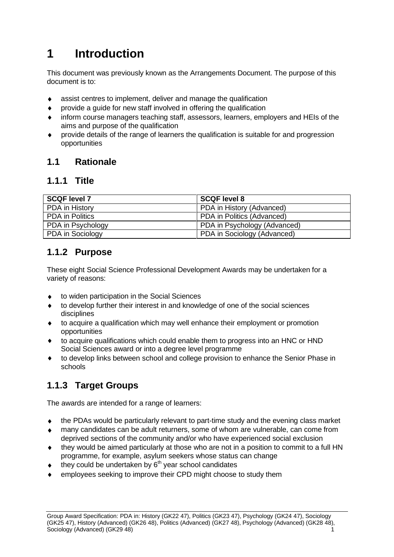# <span id="page-2-0"></span>**1 Introduction**

This document was previously known as the Arrangements Document. The purpose of this document is to:

- assist centres to implement, deliver and manage the qualification
- provide a guide for new staff involved in offering the qualification  $\blacklozenge$
- inform course managers teaching staff, assessors, learners, employers and HEIs of the aims and purpose of the qualification
- provide details of the range of learners the qualification is suitable for and progression  $\blacklozenge$ opportunities

### <span id="page-2-1"></span>**1.1 Rationale**

### <span id="page-2-2"></span>**1.1.1 Title**

| <b>SCQF level 7</b>    | <b>SCQF level 8</b>          |
|------------------------|------------------------------|
| PDA in History         | PDA in History (Advanced)    |
| <b>PDA</b> in Politics | PDA in Politics (Advanced)   |
| PDA in Psychology      | PDA in Psychology (Advanced) |
| PDA in Sociology       | PDA in Sociology (Advanced)  |

## <span id="page-2-3"></span>**1.1.2 Purpose**

These eight Social Science Professional Development Awards may be undertaken for a variety of reasons:

- to widen participation in the Social Sciences  $\blacklozenge$
- to develop further their interest in and knowledge of one of the social sciences disciplines
- to acquire a qualification which may well enhance their employment or promotion opportunities
- to acquire qualifications which could enable them to progress into an HNC or HND Social Sciences award or into a degree level programme
- to develop links between school and college provision to enhance the Senior Phase in  $\bullet$ schools

# <span id="page-2-4"></span>**1.1.3 Target Groups**

The awards are intended for a range of learners:

- the PDAs would be particularly relevant to part-time study and the evening class market  $\bullet$
- many candidates can be adult returners, some of whom are vulnerable, can come from deprived sections of the community and/or who have experienced social exclusion
- they would be aimed particularly at those who are not in a position to commit to a full HN programme, for example, asylum seekers whose status can change
- they could be undertaken by 6<sup>th</sup> year school candidates
- employees seeking to improve their CPD might choose to study them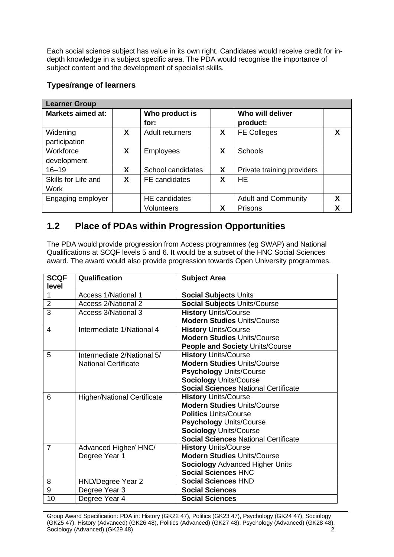Each social science subject has value in its own right. Candidates would receive credit for indepth knowledge in a subject specific area. The PDA would recognise the importance of subject content and the development of specialist skills.

#### **Types/range of learners**

| <b>Learner Group</b>     |   |                      |   |                            |   |
|--------------------------|---|----------------------|---|----------------------------|---|
| <b>Markets aimed at:</b> |   | Who product is       |   | Who will deliver           |   |
|                          |   | for:                 |   | product:                   |   |
| Widening                 | X | Adult returners      | X | <b>FE Colleges</b>         | X |
| participation            |   |                      |   |                            |   |
| Workforce                | X | <b>Employees</b>     | X | Schools                    |   |
| development              |   |                      |   |                            |   |
| $16 - 19$                | X | School candidates    | X | Private training providers |   |
| Skills for Life and      | X | FE candidates        | X | <b>HE</b>                  |   |
| Work                     |   |                      |   |                            |   |
| Engaging employer        |   | <b>HE</b> candidates |   | <b>Adult and Community</b> | X |
|                          |   | <b>Volunteers</b>    | χ | Prisons                    | χ |

### <span id="page-3-0"></span>**1.2 Place of PDAs within Progression Opportunities**

The PDA would provide progression from Access programmes (eg SWAP) and National Qualifications at SCQF levels 5 and 6. It would be a subset of the HNC Social Sciences award. The award would also provide progression towards Open University programmes.

| <b>SCQF</b>    | Qualification                      | <b>Subject Area</b>                         |
|----------------|------------------------------------|---------------------------------------------|
| level          |                                    |                                             |
| $\mathbf{1}$   | <b>Access 1/National 1</b>         | <b>Social Subjects Units</b>                |
| $\overline{2}$ | <b>Access 2/National 2</b>         | <b>Social Subjects Units/Course</b>         |
| 3              | <b>Access 3/National 3</b>         | <b>History Units/Course</b>                 |
|                |                                    | <b>Modern Studies Units/Course</b>          |
| 4              | Intermediate 1/National 4          | <b>History Units/Course</b>                 |
|                |                                    | <b>Modern Studies Units/Course</b>          |
|                |                                    | <b>People and Society Units/Course</b>      |
| 5              | Intermediate 2/National 5/         | <b>History Units/Course</b>                 |
|                | <b>National Certificate</b>        | <b>Modern Studies Units/Course</b>          |
|                |                                    | <b>Psychology Units/Course</b>              |
|                |                                    | <b>Sociology Units/Course</b>               |
|                |                                    | <b>Social Sciences National Certificate</b> |
| 6              | <b>Higher/National Certificate</b> | <b>History Units/Course</b>                 |
|                |                                    | <b>Modern Studies Units/Course</b>          |
|                |                                    | <b>Politics Units/Course</b>                |
|                |                                    | <b>Psychology Units/Course</b>              |
|                |                                    | <b>Sociology Units/Course</b>               |
|                |                                    | <b>Social Sciences National Certificate</b> |
| $\overline{7}$ | Advanced Higher/ HNC/              | <b>History Units/Course</b>                 |
|                | Degree Year 1                      | <b>Modern Studies Units/Course</b>          |
|                |                                    | <b>Sociology Advanced Higher Units</b>      |
|                |                                    | <b>Social Sciences HNC</b>                  |
| 8              | HND/Degree Year 2                  | <b>Social Sciences HND</b>                  |
| 9              | Degree Year 3                      | <b>Social Sciences</b>                      |
| 10             | Degree Year 4                      | <b>Social Sciences</b>                      |

Group Award Specification: PDA in: History (GK22 47), Politics (GK23 47), Psychology (GK24 47), Sociology (GK25 47), History (Advanced) (GK26 48), Politics (Advanced) (GK27 48), Psychology (Advanced) (GK28 48), Sociology (Advanced) (GK29 48) 2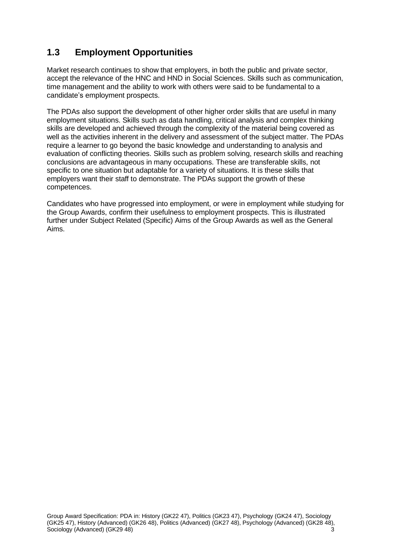# <span id="page-4-0"></span>**1.3 Employment Opportunities**

Market research continues to show that employers, in both the public and private sector, accept the relevance of the HNC and HND in Social Sciences. Skills such as communication, time management and the ability to work with others were said to be fundamental to a candidate's employment prospects.

The PDAs also support the development of other higher order skills that are useful in many employment situations. Skills such as data handling, critical analysis and complex thinking skills are developed and achieved through the complexity of the material being covered as well as the activities inherent in the delivery and assessment of the subject matter. The PDAs require a learner to go beyond the basic knowledge and understanding to analysis and evaluation of conflicting theories. Skills such as problem solving, research skills and reaching conclusions are advantageous in many occupations. These are transferable skills, not specific to one situation but adaptable for a variety of situations. It is these skills that employers want their staff to demonstrate. The PDAs support the growth of these competences.

Candidates who have progressed into employment, or were in employment while studying for the Group Awards, confirm their usefulness to employment prospects. This is illustrated further under Subject Related (Specific) Aims of the Group Awards as well as the General Aims.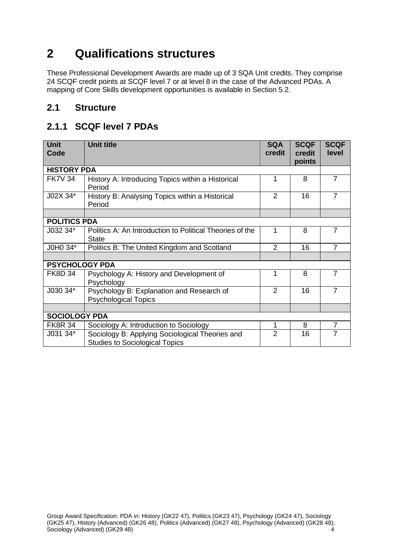# <span id="page-5-0"></span>**2 Qualifications structures**

These Professional Development Awards are made up of 3 SQA Unit credits. They comprise 24 SCQF credit points at SCQF level 7 or at level 8 in the case of the Advanced PDAs. A mapping of Core Skills development opportunities is available in Section 5.2.

### <span id="page-5-1"></span>**2.1 Structure**

## <span id="page-5-2"></span>**2.1.1 SCQF level 7 PDAs**

| <b>Unit</b>           | <b>Unit title</b>                                                                        | <b>SQA</b>     | <b>SCQF</b> | <b>SCQF</b>    |
|-----------------------|------------------------------------------------------------------------------------------|----------------|-------------|----------------|
| Code                  |                                                                                          | credit         | credit      | level          |
|                       |                                                                                          |                | points      |                |
| <b>HISTORY PDA</b>    |                                                                                          |                |             |                |
| <b>FK7V 34</b>        | History A: Introducing Topics within a Historical<br>Period                              | 1              | 8           | $\overline{7}$ |
| J02X 34*              | History B: Analysing Topics within a Historical<br>Period                                |                | 16          | $\overline{7}$ |
|                       |                                                                                          |                |             |                |
| <b>POLITICS PDA</b>   |                                                                                          |                |             |                |
| J032 34*              | Politics A: An Introduction to Political Theories of the<br><b>State</b>                 | 1              | 8           | 7              |
| J0H0 34*              | Politics B: The United Kingdom and Scotland                                              | $\overline{2}$ | 16          | $\overline{7}$ |
|                       |                                                                                          |                |             |                |
| <b>PSYCHOLOGY PDA</b> |                                                                                          |                |             |                |
| <b>FK8D 34</b>        | Psychology A: History and Development of<br>Psychology                                   | 1              | 8           | $\overline{7}$ |
| J030 34*              | Psychology B: Explanation and Research of<br><b>Psychological Topics</b>                 | 2              | 16          | $\overline{7}$ |
|                       |                                                                                          |                |             |                |
| <b>SOCIOLOGY PDA</b>  |                                                                                          |                |             |                |
| <b>FK8R 34</b>        | Sociology A: Introduction to Sociology                                                   | 1              | 8           | $\overline{7}$ |
| J031 34*              | Sociology B: Applying Sociological Theories and<br><b>Studies to Sociological Topics</b> | $\overline{2}$ | 16          | 7              |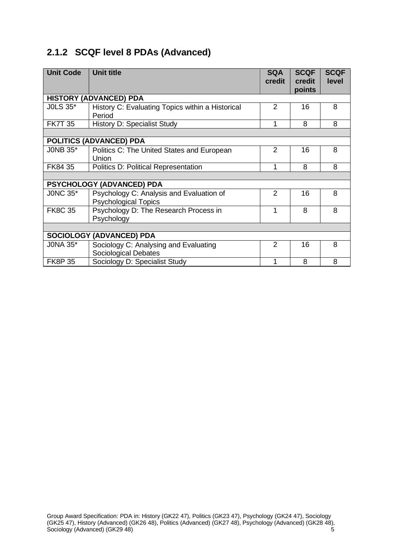# <span id="page-6-0"></span>**2.1.2 SCQF level 8 PDAs (Advanced)**

| <b>Unit Code</b> | <b>Unit title</b>                                                       | <b>SQA</b><br>credit | <b>SCQF</b><br>credit<br>points | <b>SCQF</b><br><b>level</b> |
|------------------|-------------------------------------------------------------------------|----------------------|---------------------------------|-----------------------------|
|                  | <b>HISTORY (ADVANCED) PDA</b>                                           |                      |                                 |                             |
| <b>JOLS 35*</b>  | History C: Evaluating Topics within a Historical<br>Period              | $\overline{2}$       | 16                              | 8                           |
| <b>FK7T 35</b>   | <b>History D: Specialist Study</b>                                      | 1                    | 8                               | 8                           |
|                  |                                                                         |                      |                                 |                             |
|                  | <b>POLITICS (ADVANCED) PDA</b>                                          |                      |                                 |                             |
| <b>JONB 35*</b>  | Politics C: The United States and European<br>Union                     | $\overline{2}$       | 16                              | 8                           |
| FK84 35          | <b>Politics D: Political Representation</b>                             | 1                    | 8                               | 8                           |
|                  |                                                                         |                      |                                 |                             |
|                  | <b>PSYCHOLOGY (ADVANCED) PDA</b>                                        |                      |                                 |                             |
| <b>JONC 35*</b>  | Psychology C: Analysis and Evaluation of<br><b>Psychological Topics</b> | 2                    | 16                              | 8                           |
| <b>FK8C 35</b>   | Psychology D: The Research Process in<br>Psychology                     | 1                    | 8                               | 8                           |
|                  |                                                                         |                      |                                 |                             |
|                  | <b>SOCIOLOGY (ADVANCED) PDA</b>                                         |                      |                                 |                             |
| <b>JONA 35*</b>  | Sociology C: Analysing and Evaluating<br>Sociological Debates           | $\overline{2}$       | 16                              | 8                           |
| <b>FK8P35</b>    | Sociology D: Specialist Study                                           | 1                    | 8                               | 8                           |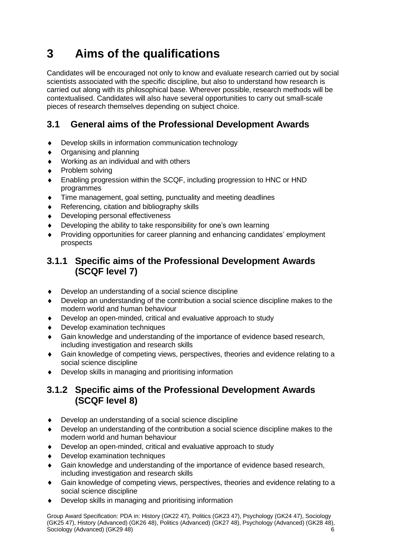# <span id="page-7-0"></span>**3 Aims of the qualifications**

Candidates will be encouraged not only to know and evaluate research carried out by social scientists associated with the specific discipline, but also to understand how research is carried out along with its philosophical base. Wherever possible, research methods will be contextualised. Candidates will also have several opportunities to carry out small-scale pieces of research themselves depending on subject choice.

## **3.1 General aims of the Professional Development Awards**

- Develop skills in information communication technology
- Organising and planning  $\blacklozenge$
- Working as an individual and with others
- Problem solving
- Enabling progression within the SCQF, including progression to HNC or HND programmes
- Time management, goal setting, punctuality and meeting deadlines  $\blacktriangle$
- Referencing, citation and bibliography skills  $\blacklozenge$
- Developing personal effectiveness
- Developing the ability to take responsibility for one's own learning
- Providing opportunities for career planning and enhancing candidates' employment prospects

### <span id="page-7-1"></span>**3.1.1 Specific aims of the Professional Development Awards (SCQF level 7)**

- Develop an understanding of a social science discipline
- Develop an understanding of the contribution a social science discipline makes to the modern world and human behaviour
- Develop an open-minded, critical and evaluative approach to study  $\blacklozenge$
- Develop examination techniques
- Gain knowledge and understanding of the importance of evidence based research, including investigation and research skills
- Gain knowledge of competing views, perspectives, theories and evidence relating to a social science discipline
- Develop skills in managing and prioritising information

### <span id="page-7-2"></span>**3.1.2 Specific aims of the Professional Development Awards (SCQF level 8)**

- Develop an understanding of a social science discipline  $\bullet$
- Develop an understanding of the contribution a social science discipline makes to the modern world and human behaviour
- Develop an open-minded, critical and evaluative approach to study
- Develop examination techniques
- Gain knowledge and understanding of the importance of evidence based research, including investigation and research skills
- Gain knowledge of competing views, perspectives, theories and evidence relating to a social science discipline
- Develop skills in managing and prioritising information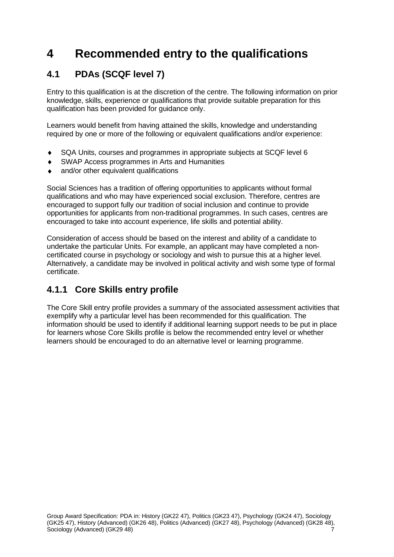# <span id="page-8-0"></span>**4 Recommended entry to the qualifications**

# <span id="page-8-1"></span>**4.1 PDAs (SCQF level 7)**

Entry to this qualification is at the discretion of the centre. The following information on prior knowledge, skills, experience or qualifications that provide suitable preparation for this qualification has been provided for guidance only.

Learners would benefit from having attained the skills, knowledge and understanding required by one or more of the following or equivalent qualifications and/or experience:

- SQA Units, courses and programmes in appropriate subjects at SCQF level 6  $\blacklozenge$
- SWAP Access programmes in Arts and Humanities
- and/or other equivalent qualifications

Social Sciences has a tradition of offering opportunities to applicants without formal qualifications and who may have experienced social exclusion. Therefore, centres are encouraged to support fully our tradition of social inclusion and continue to provide opportunities for applicants from non-traditional programmes. In such cases, centres are encouraged to take into account experience, life skills and potential ability.

Consideration of access should be based on the interest and ability of a candidate to undertake the particular Units. For example, an applicant may have completed a noncertificated course in psychology or sociology and wish to pursue this at a higher level. Alternatively, a candidate may be involved in political activity and wish some type of formal certificate.

## <span id="page-8-2"></span>**4.1.1 Core Skills entry profile**

The Core Skill entry profile provides a summary of the associated assessment activities that exemplify why a particular level has been recommended for this qualification. The information should be used to identify if additional learning support needs to be put in place for learners whose Core Skills profile is below the recommended entry level or whether learners should be encouraged to do an alternative level or learning programme.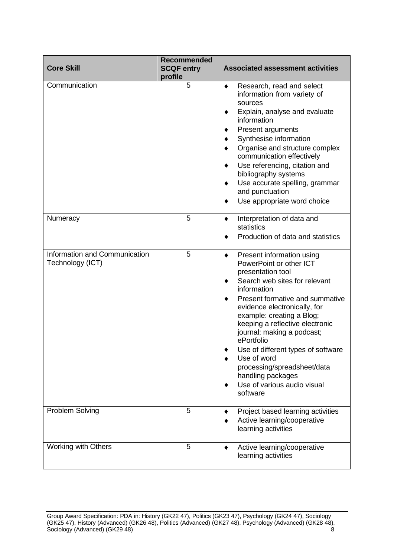| <b>Core Skill</b>                                 | <b>Recommended</b><br><b>SCQF entry</b><br>profile | <b>Associated assessment activities</b>                                                                                                                                                                                                                                                                                                                                                                                                                                                        |
|---------------------------------------------------|----------------------------------------------------|------------------------------------------------------------------------------------------------------------------------------------------------------------------------------------------------------------------------------------------------------------------------------------------------------------------------------------------------------------------------------------------------------------------------------------------------------------------------------------------------|
| Communication                                     | 5                                                  | Research, read and select<br>٠<br>information from variety of<br>sources<br>Explain, analyse and evaluate<br>٠<br>information<br><b>Present arguments</b><br>Synthesise information<br>٠<br>Organise and structure complex<br>٠<br>communication effectively<br>Use referencing, citation and<br>٠<br>bibliography systems<br>Use accurate spelling, grammar<br>٠<br>and punctuation<br>Use appropriate word choice<br>٠                                                                       |
| Numeracy                                          | 5                                                  | Interpretation of data and<br>٠<br>statistics<br>Production of data and statistics                                                                                                                                                                                                                                                                                                                                                                                                             |
| Information and Communication<br>Technology (ICT) | 5                                                  | Present information using<br>$\blacklozenge$<br>PowerPoint or other ICT<br>presentation tool<br>Search web sites for relevant<br>٠<br>information<br>Present formative and summative<br>٠<br>evidence electronically, for<br>example: creating a Blog;<br>keeping a reflective electronic<br>journal; making a podcast;<br>ePortfolio<br>Use of different types of software<br>Use of word<br>processing/spreadsheet/data<br>handling packages<br>Use of various audio visual<br>٠<br>software |
| <b>Problem Solving</b>                            | 5                                                  | Project based learning activities<br>٠<br>Active learning/cooperative<br>٠<br>learning activities                                                                                                                                                                                                                                                                                                                                                                                              |
| <b>Working with Others</b>                        | 5                                                  | Active learning/cooperative<br>٠<br>learning activities                                                                                                                                                                                                                                                                                                                                                                                                                                        |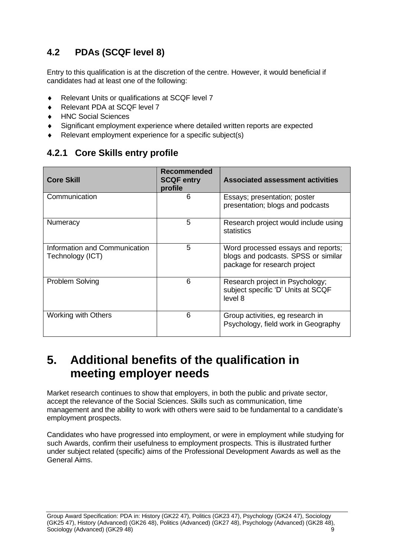# <span id="page-10-0"></span>**4.2 PDAs (SCQF level 8)**

Entry to this qualification is at the discretion of the centre. However, it would beneficial if candidates had at least one of the following:

- Relevant Units or qualifications at SCQF level 7
- Relevant PDA at SCQF level 7  $\ddot{\bullet}$
- HNC Social Sciences  $\blacklozenge$
- Significant employment experience where detailed written reports are expected
- Relevant employment experience for a specific subject(s)

### <span id="page-10-1"></span>**4.2.1 Core Skills entry profile**

| <b>Core Skill</b>                                 | Recommended<br><b>SCQF entry</b><br>profile | <b>Associated assessment activities</b>                                                                   |
|---------------------------------------------------|---------------------------------------------|-----------------------------------------------------------------------------------------------------------|
| Communication                                     | 6                                           | Essays; presentation; poster<br>presentation; blogs and podcasts                                          |
| Numeracy                                          | 5                                           | Research project would include using<br>statistics                                                        |
| Information and Communication<br>Technology (ICT) | 5                                           | Word processed essays and reports;<br>blogs and podcasts. SPSS or similar<br>package for research project |
| <b>Problem Solving</b>                            | 6                                           | Research project in Psychology;<br>subject specific 'D' Units at SCQF<br>level 8                          |
| <b>Working with Others</b>                        | 6                                           | Group activities, eg research in<br>Psychology, field work in Geography                                   |

# <span id="page-10-2"></span>**5. Additional benefits of the qualification in meeting employer needs**

Market research continues to show that employers, in both the public and private sector, accept the relevance of the Social Sciences. Skills such as communication, time management and the ability to work with others were said to be fundamental to a candidate's employment prospects.

Candidates who have progressed into employment, or were in employment while studying for such Awards, confirm their usefulness to employment prospects. This is illustrated further under subject related (specific) aims of the Professional Development Awards as well as the General Aims.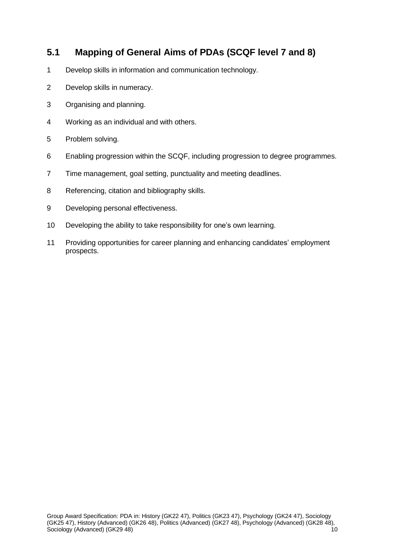### <span id="page-11-0"></span>**5.1 Mapping of General Aims of PDAs (SCQF level 7 and 8)**

- Develop skills in information and communication technology.
- Develop skills in numeracy.
- Organising and planning.
- Working as an individual and with others.
- Problem solving.
- Enabling progression within the SCQF, including progression to degree programmes.
- Time management, goal setting, punctuality and meeting deadlines.
- Referencing, citation and bibliography skills.
- Developing personal effectiveness.
- Developing the ability to take responsibility for one's own learning.
- Providing opportunities for career planning and enhancing candidates' employment prospects.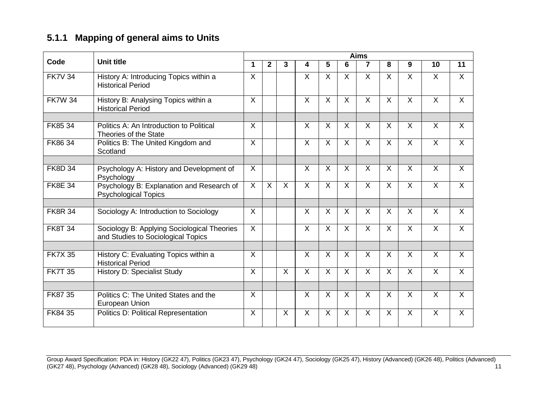# **5.1.1 Mapping of general aims to Units**

<span id="page-12-0"></span>

|                |                                                                                   |                | <b>Aims</b>    |                         |                         |                 |                |                         |                |                         |                         |                |  |
|----------------|-----------------------------------------------------------------------------------|----------------|----------------|-------------------------|-------------------------|-----------------|----------------|-------------------------|----------------|-------------------------|-------------------------|----------------|--|
| Code           | <b>Unit title</b>                                                                 | 1              | $\mathbf{2}$   | 3                       | 4                       | $5\phantom{.0}$ | 6              | 7                       | 8              | 9                       | 10                      | 11             |  |
| <b>FK7V 34</b> | History A: Introducing Topics within a<br><b>Historical Period</b>                | $\sf X$        |                |                         | $\sf X$                 | $\sf X$         | $\sf X$        | $\overline{X}$          | $\overline{X}$ | $\mathsf{X}$            | $\mathsf{X}$            | $\sf X$        |  |
| <b>FK7W 34</b> | History B: Analysing Topics within a<br><b>Historical Period</b>                  | $\sf X$        |                |                         | $\sf X$                 | $\sf X$         | $\mathsf{X}$   | $\overline{\mathsf{x}}$ | $\sf X$        | $\mathsf{X}$            | $\mathsf{X}$            | $\mathsf{X}$   |  |
| FK85 34        | Politics A: An Introduction to Political<br>Theories of the State                 | $\sf X$        |                |                         | X                       | $\sf X$         | $\sf X$        | $\sf X$                 | $\sf X$        | $\sf X$                 | X                       | $\sf X$        |  |
| FK86 34        | Politics B: The United Kingdom and<br>Scotland                                    | $\overline{X}$ |                |                         | $\overline{X}$          | $\sf X$         | $\sf X$        | $\overline{\mathsf{x}}$ | $\overline{X}$ | $\overline{X}$          | $\overline{X}$          | $\mathsf{X}$   |  |
|                |                                                                                   |                |                |                         |                         |                 |                |                         |                |                         |                         |                |  |
| <b>FK8D 34</b> | Psychology A: History and Development of<br>Psychology                            | $\overline{X}$ |                |                         | $\overline{\mathsf{x}}$ | $\overline{X}$  | $\overline{X}$ | $\overline{\mathsf{x}}$ | $\overline{X}$ | $\overline{\mathsf{x}}$ | $\overline{\mathsf{x}}$ | $\overline{X}$ |  |
| <b>FK8E 34</b> | Psychology B: Explanation and Research of<br><b>Psychological Topics</b>          | $\overline{X}$ | $\overline{X}$ | $\overline{X}$          | $\overline{X}$          | X               | X              | $\overline{X}$          | $\overline{X}$ | $\overline{X}$          | $\overline{X}$          | $\overline{X}$ |  |
|                |                                                                                   |                |                |                         |                         |                 |                |                         |                |                         |                         |                |  |
| <b>FK8R 34</b> | Sociology A: Introduction to Sociology                                            | $\sf X$        |                |                         | X                       | X               | $\sf X$        | X                       | X              | $\sf X$                 | X                       | X              |  |
| <b>FK8T 34</b> | Sociology B: Applying Sociological Theories<br>and Studies to Sociological Topics | $\overline{X}$ |                |                         | $\overline{X}$          | $\overline{X}$  | $\overline{X}$ | $\overline{\mathsf{x}}$ | $\overline{X}$ | $\overline{X}$          | $\overline{X}$          | $\overline{X}$ |  |
|                |                                                                                   |                |                |                         |                         |                 |                |                         |                |                         |                         |                |  |
| <b>FK7X 35</b> | History C: Evaluating Topics within a<br><b>Historical Period</b>                 | $\sf X$        |                |                         | $\overline{X}$          | $\sf X$         | $\mathsf{X}$   | $\overline{\mathsf{x}}$ | $\overline{X}$ | $\sf X$                 | X                       | X              |  |
| <b>FK7T 35</b> | <b>History D: Specialist Study</b>                                                | $\overline{X}$ |                | $\overline{\mathsf{x}}$ | $\overline{X}$          | $\overline{X}$  | $\overline{X}$ | $\overline{X}$          | $\overline{X}$ | $\overline{X}$          | $\overline{\mathsf{x}}$ | $\overline{X}$ |  |
|                |                                                                                   |                |                |                         |                         |                 |                |                         |                |                         |                         |                |  |
| FK87 35        | Politics C: The United States and the<br>European Union                           | $\sf X$        |                |                         | $\sf X$                 | $\times$        | X              | $\sf X$                 | $\sf X$        | $\mathsf{X}$            | X                       | $\mathsf{X}$   |  |
| FK84 35        | <b>Politics D: Political Representation</b>                                       | $\overline{X}$ |                | $\overline{\mathsf{x}}$ | $\overline{\mathsf{X}}$ | $\overline{X}$  | $\sf X$        | $\overline{\mathsf{x}}$ | $\overline{X}$ | $\overline{X}$          | $\overline{X}$          | $\overline{X}$ |  |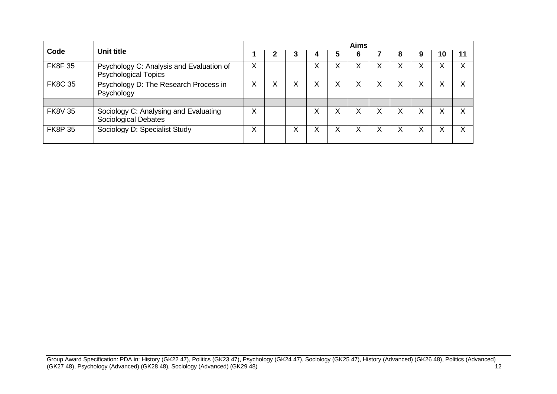|                |                                                                         |   | <b>Aims</b> |   |   |   |   |   |   |  |    |  |
|----------------|-------------------------------------------------------------------------|---|-------------|---|---|---|---|---|---|--|----|--|
| Code           | Unit title                                                              |   |             |   |   |   |   |   | O |  | 10 |  |
| <b>FK8F35</b>  | Psychology C: Analysis and Evaluation of<br><b>Psychological Topics</b> |   |             |   | Х |   |   |   | ⋏ |  | ∧  |  |
| <b>FK8C 35</b> | Psychology D: The Research Process in<br>Psychology                     |   | ∧           | ∧ |   | ⋏ |   | ∧ | Χ |  | ∧  |  |
|                |                                                                         |   |             |   |   |   |   |   |   |  |    |  |
| <b>FK8V 35</b> | Sociology C: Analysing and Evaluating<br>Sociological Debates           |   |             |   | х | ∧ | v | ∧ | Χ |  | ∧  |  |
| <b>FK8P 35</b> | Sociology D: Specialist Study                                           | ⌒ |             | ∧ |   | ⋏ |   |   | х |  | ∧  |  |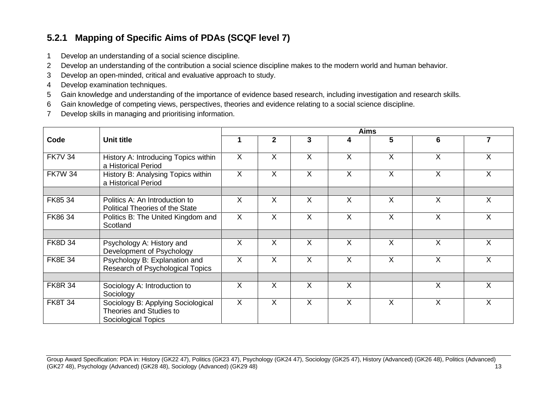# **5.2.1 Mapping of Specific Aims of PDAs (SCQF level 7)**

- 1 Develop an understanding of a social science discipline.
- 2 Develop an understanding of the contribution a social science discipline makes to the modern world and human behavior.
- 3 Develop an open-minded, critical and evaluative approach to study.
- 4 Develop examination techniques.
- 5 Gain knowledge and understanding of the importance of evidence based research, including investigation and research skills.
- 6 Gain knowledge of competing views, perspectives, theories and evidence relating to a social science discipline.
- 7 Develop skills in managing and prioritising information.

<span id="page-14-0"></span>

|                |                                                                                             | <b>Aims</b> |              |         |          |              |         |                |  |  |  |
|----------------|---------------------------------------------------------------------------------------------|-------------|--------------|---------|----------|--------------|---------|----------------|--|--|--|
| Code           | Unit title                                                                                  |             | $\mathbf{2}$ | 3       | 4        | 5            | 6       | $\overline{7}$ |  |  |  |
| <b>FK7V 34</b> | History A: Introducing Topics within<br>a Historical Period                                 | X           | $\sf X$      | X       | X        | X            | X       | X              |  |  |  |
| <b>FK7W 34</b> | History B: Analysing Topics within<br>a Historical Period                                   | $\sf X$     | $\sf X$      | $\sf X$ | $\sf X$  | $\mathsf{X}$ | $\sf X$ | $\sf X$        |  |  |  |
| FK85 34        | Politics A: An Introduction to<br><b>Political Theories of the State</b>                    | X           | X            | $\sf X$ | X        | $\mathsf{X}$ | X       | $\sf X$        |  |  |  |
| FK86 34        | Politics B: The United Kingdom and<br>Scotland                                              | $\sf X$     | $\sf X$      | X       | $\times$ | $\mathsf{X}$ | X       | $\sf X$        |  |  |  |
|                |                                                                                             |             |              |         |          |              |         |                |  |  |  |
| <b>FK8D 34</b> | Psychology A: History and<br>Development of Psychology                                      | $\sf X$     | $\sf X$      | $\sf X$ | $\sf X$  | $\mathsf{X}$ | $\sf X$ | $\sf X$        |  |  |  |
| <b>FK8E 34</b> | Psychology B: Explanation and<br>Research of Psychological Topics                           | X           | X            | X       | X        | X            | X       | X              |  |  |  |
|                |                                                                                             |             |              |         |          |              |         |                |  |  |  |
| <b>FK8R 34</b> | Sociology A: Introduction to<br>Sociology                                                   | X           | $\times$     | X       | $\sf X$  |              | X       | $\sf X$        |  |  |  |
| <b>FK8T 34</b> | Sociology B: Applying Sociological<br>Theories and Studies to<br><b>Sociological Topics</b> | $\sf X$     | $\sf X$      | $\sf X$ | $\sf X$  | $\mathsf{X}$ | X       | $\sf X$        |  |  |  |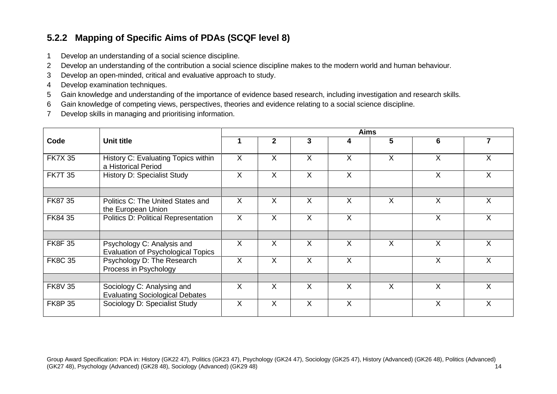## **5.2.2 Mapping of Specific Aims of PDAs (SCQF level 8)**

- 1 Develop an understanding of a social science discipline.
- 2 Develop an understanding of the contribution a social science discipline makes to the modern world and human behaviour.
- 3 Develop an open-minded, critical and evaluative approach to study.
- 4 Develop examination techniques.
- 5 Gain knowledge and understanding of the importance of evidence based research, including investigation and research skills.
- 6 Gain knowledge of competing views, perspectives, theories and evidence relating to a social science discipline.
- 7 Develop skills in managing and prioritising information.

<span id="page-15-0"></span>

|                |                                                                      | <b>Aims</b> |              |   |          |              |                |                |
|----------------|----------------------------------------------------------------------|-------------|--------------|---|----------|--------------|----------------|----------------|
| Code           | <b>Unit title</b>                                                    |             | $\mathbf{2}$ | 3 | 4        | 5            | 6              | $\overline{7}$ |
| <b>FK7X 35</b> | History C: Evaluating Topics within<br>a Historical Period           | X           | X            | X | $\sf X$  | $\mathsf{X}$ | $\sf X$        | $\sf X$        |
| <b>FK7T 35</b> | <b>History D: Specialist Study</b>                                   | X           | X            | X | $\times$ |              | X              | $\sf X$        |
|                |                                                                      |             |              |   |          |              |                |                |
| FK87 35        | Politics C: The United States and<br>the European Union              | X           | X            | X | X        | X.           | X              | $\sf X$        |
| FK84 35        | Politics D: Political Representation                                 | X           | X            | X | $\sf X$  |              | X              | X              |
|                |                                                                      |             |              |   |          |              |                |                |
| <b>FK8F35</b>  | Psychology C: Analysis and<br>Evaluation of Psychological Topics     | X           | $\times$     | X | $\times$ | X.           | X              | $\sf X$        |
| <b>FK8C 35</b> | Psychology D: The Research<br>Process in Psychology                  | X           | X            | X | $\times$ |              | $\overline{X}$ | $\sf X$        |
|                |                                                                      |             |              |   |          |              |                |                |
| <b>FK8V 35</b> | Sociology C: Analysing and<br><b>Evaluating Sociological Debates</b> | X           | X            | X | X        | X            | $\times$       | X              |
| <b>FK8P 35</b> | Sociology D: Specialist Study                                        | X           | X            | X | X        |              | X              | $\sf X$        |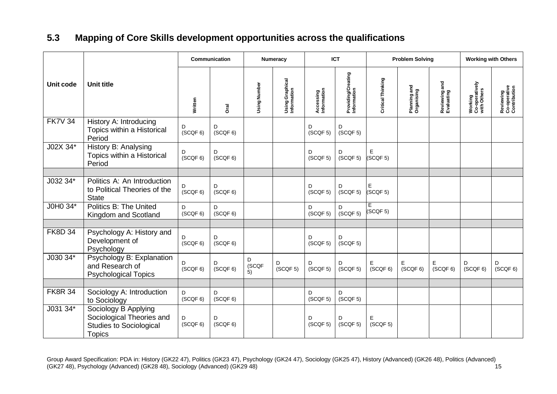# **5.3 Mapping of Core Skills development opportunities across the qualifications**

<span id="page-16-0"></span>

|                |                                                                                                      |               | Communication |                  | <b>Numeracy</b>                |                           | <b>ICT</b>                        |                   | <b>Problem Solving</b>     |                             |                                          | <b>Working with Others</b>                |  |
|----------------|------------------------------------------------------------------------------------------------------|---------------|---------------|------------------|--------------------------------|---------------------------|-----------------------------------|-------------------|----------------------------|-----------------------------|------------------------------------------|-------------------------------------------|--|
| Unit code      | <b>Unit title</b>                                                                                    | Written       | Drai          | Using Number     | Using Graphical<br>Information | Accessing<br>Information  | Providing/Creating<br>Information | Critical Thinking | Planning and<br>Organising | Reviewing and<br>Evaluating | Working<br>Co-operatively<br>with Others | Reviewing<br>Co-operative<br>Contribution |  |
| <b>FK7V 34</b> | History A: Introducing<br>Topics within a Historical<br>Period                                       | D<br>(SCQF 6) | D<br>(SCQF 6) |                  |                                | D<br>(SCQF 5)             | D<br>(SCQF 5)                     |                   |                            |                             |                                          |                                           |  |
| J02X 34*       | History B: Analysing<br>Topics within a Historical<br>Period                                         | (SCQF 6)      | D<br>(SCQF 6) |                  |                                | D<br>(SCQF 5)             | D<br>(SCQF <sub>5</sub> )         | Е<br>(SCQF 5)     |                            |                             |                                          |                                           |  |
|                |                                                                                                      |               |               |                  |                                |                           |                                   |                   |                            |                             |                                          |                                           |  |
| J032 34*       | Politics A: An Introduction<br>to Political Theories of the<br><b>State</b>                          | D<br>(SCQF 6) | D<br>(SCQF 6) |                  |                                | D<br>(SCQF 5)             | D<br>(SCQF 5)                     | Е<br>(SCQF 5)     |                            |                             |                                          |                                           |  |
| J0H0 34*       | Politics B: The United<br>Kingdom and Scotland                                                       | D<br>(SCQF 6) | D<br>(SCQF 6) |                  |                                | D<br>(SCQF 5)             | D<br>(SCQF 5)                     | Е<br>(SCQF 5)     |                            |                             |                                          |                                           |  |
|                |                                                                                                      |               |               |                  |                                |                           |                                   |                   |                            |                             |                                          |                                           |  |
| <b>FK8D 34</b> | Psychology A: History and<br>Development of<br>Psychology                                            | D<br>(SCQF 6) | D<br>(SCQF 6) |                  |                                | D<br>(SCQF 5)             | D<br>(SCQF 5)                     |                   |                            |                             |                                          |                                           |  |
| J030 34*       | Psychology B: Explanation<br>and Research of<br><b>Psychological Topics</b>                          | D<br>(SCQF 6) | D<br>(SCQF 6) | D<br>(SCQF<br>5) | D<br>(SCQF 5)                  | D<br>(SCQF 5)             | D<br>(SCQF 5)                     | Е<br>(SCQF 6)     | Е<br>(SCQF 6)              | E<br>(SCQF 6)               | D<br>(SCQF 6)                            | D<br>(SCQF 6)                             |  |
|                |                                                                                                      |               |               |                  |                                |                           |                                   |                   |                            |                             |                                          |                                           |  |
| <b>FK8R 34</b> | Sociology A: Introduction<br>to Sociology                                                            | D<br>(SCQF 6) | D<br>(SCQF 6) |                  |                                | D<br>(SCQF 5)             | D<br>(SCQF 5)                     |                   |                            |                             |                                          |                                           |  |
| J031 34*       | Sociology B Applying<br>Sociological Theories and<br><b>Studies to Sociological</b><br><b>Topics</b> | D<br>(SCQF 6) | D<br>(SCQF 6) |                  |                                | D<br>(SCQF <sub>5</sub> ) | D<br>(SCQF 5)                     | Ε<br>(SCQF 5)     |                            |                             |                                          |                                           |  |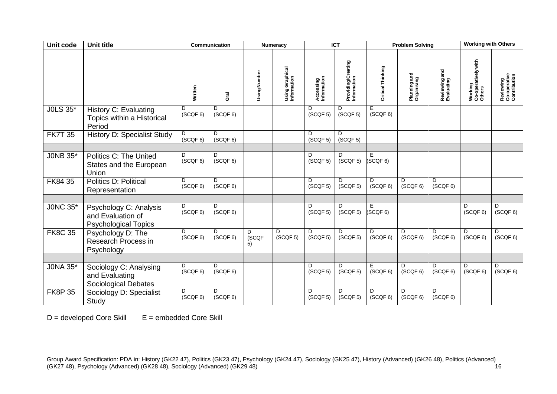| Unit code       | <b>Unit title</b>                                                          |                | <b>Communication</b> |                              | <b>Numeracy</b>                |                          | <b>ICT</b>                        | <b>Problem Solving</b>   |                            | <b>Working with Others</b>  |                                          |                                           |
|-----------------|----------------------------------------------------------------------------|----------------|----------------------|------------------------------|--------------------------------|--------------------------|-----------------------------------|--------------------------|----------------------------|-----------------------------|------------------------------------------|-------------------------------------------|
|                 |                                                                            | Written        | Dral                 | Using Number                 | Using Graphical<br>Information | Accessing<br>Information | Providing/Creating<br>Information | Critical Thinking        | Planning and<br>Organising | Reviewing and<br>Evaluating | Working<br>Co-operatively with<br>Others | Reviewing<br>Co-operative<br>Contribution |
| <b>JOLS 35*</b> | <b>History C: Evaluating</b><br>Topics within a Historical<br>Period       | D<br>(SCQF 6)  | D<br>(SCQF 6)        |                              |                                | D<br>(SCQF 5)            | D<br>(SCQF 5)                     | E.<br>(SCQF 6)           |                            |                             |                                          |                                           |
| <b>FK7T 35</b>  | <b>History D: Specialist Study</b>                                         | D<br>(SCQF 6)  | D<br>(SCQF 6)        |                              |                                | D<br>(SCQF 5)            | D<br>(SCQF 5)                     |                          |                            |                             |                                          |                                           |
| J0NB 35*        | <b>Politics C: The United</b><br>States and the European<br>Union          | D<br>(SCQF 6)  | D<br>(SCQF 6)        |                              |                                | D<br>(SCQF 5)            | D<br>(SCQF 5)                     | Е<br>(SCQF 6)            |                            |                             |                                          |                                           |
| FK84 35         | <b>Politics D: Political</b><br>Representation                             | D.<br>(SCQF 6) | D.<br>(SCQF 6)       |                              |                                | D<br>(SCQF 5)            | D.<br>(SCQF 5)                    | D.<br>(SCQF 6)           | D.<br>(SCQF 6)             | D<br>(SCQF 6)               |                                          |                                           |
| <b>JONC 35*</b> | Psychology C: Analysis<br>and Evaluation of<br><b>Psychological Topics</b> | D.<br>(SCQF 6) | D.<br>(SCQF 6)       |                              |                                | D<br>(SCQF 5)            | D<br>(SCQF 5)                     | Ε<br>SCQF <sub>6</sub> ) |                            |                             | D<br>(SCQF 6)                            | D.<br>(SCQF 6)                            |
| <b>FK8C 35</b>  | Psychology D: The<br>Research Process in<br>Psychology                     | D<br>(SCQF 6)  | D<br>(SCQF 6)        | D<br>(SCQF<br>$\overline{5}$ | D<br>(SCQF 5)                  | D<br>(SCQF 5)            | D<br>(SCQF <sub>5</sub> )         | D<br>(SCQF 6)            | D<br>(SCQF 6)              | D<br>(SCQF 6)               | D<br>(SCQF 6)                            | D<br>(SCQF 6)                             |
| <b>JONA 35*</b> | Sociology C: Analysing<br>and Evaluating<br>Sociological Debates           | D.<br>(SCQF 6) | D<br>(SCQF 6)        |                              |                                | D<br>(SCQF 5)            | D<br>(SCQF <sub>5</sub> )         | E<br>(SCQF 6)            | D.<br>(SCQF 6)             | D<br>(SCQF 6)               | D<br>(SCQF 6)                            | D<br>(SCQF 6)                             |
| <b>FK8P 35</b>  | Sociology D: Specialist<br>Study                                           | D<br>(SCQF 6)  | D<br>(SCQF 6)        |                              |                                | D<br>(SCQF 5)            | D<br>(SCQF <sub>5</sub> )         | D<br>(SCQF 6)            | D<br>(SCQF 6)              | D<br>(SCQF 6)               |                                          |                                           |

 $D =$  developed Core Skill  $E =$  embedded Core Skill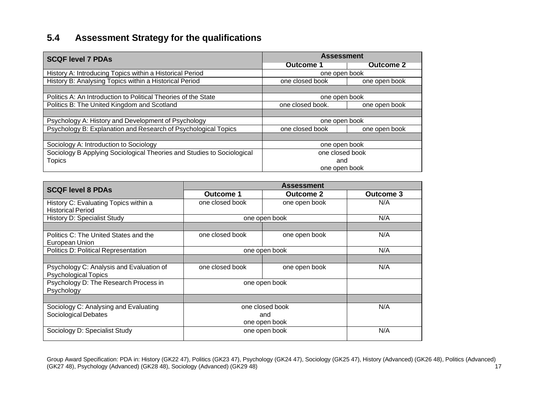# **5.4 Assessment Strategy for the qualifications**

| <b>SCQF level 7 PDAs</b>                                               | <b>Assessment</b> |                  |  |  |  |
|------------------------------------------------------------------------|-------------------|------------------|--|--|--|
|                                                                        | Outcome 1         | <b>Outcome 2</b> |  |  |  |
| History A: Introducing Topics within a Historical Period               | one open book     |                  |  |  |  |
| History B: Analysing Topics within a Historical Period                 | one closed book   | one open book    |  |  |  |
|                                                                        |                   |                  |  |  |  |
| Politics A: An Introduction to Political Theories of the State         | one open book     |                  |  |  |  |
| Politics B: The United Kingdom and Scotland                            | one closed book.  | one open book    |  |  |  |
|                                                                        |                   |                  |  |  |  |
| Psychology A: History and Development of Psychology                    | one open book     |                  |  |  |  |
| Psychology B: Explanation and Research of Psychological Topics         | one closed book   | one open book    |  |  |  |
|                                                                        |                   |                  |  |  |  |
| Sociology A: Introduction to Sociology                                 | one open book     |                  |  |  |  |
| Sociology B Applying Sociological Theories and Studies to Sociological | one closed book   |                  |  |  |  |
| <b>Topics</b>                                                          | and               |                  |  |  |  |
|                                                                        | one open book     |                  |  |  |  |

<span id="page-18-0"></span>

| <b>SCQF level 8 PDAs</b>                                                |                                         |                  |                  |
|-------------------------------------------------------------------------|-----------------------------------------|------------------|------------------|
|                                                                         | <b>Outcome 1</b>                        | <b>Outcome 2</b> | <b>Outcome 3</b> |
| History C: Evaluating Topics within a<br><b>Historical Period</b>       | one closed book                         | one open book    | N/A              |
| <b>History D: Specialist Study</b>                                      | one open book                           | N/A              |                  |
| Politics C: The United States and the<br>European Union                 | one closed book                         | one open book    | N/A              |
| <b>Politics D: Political Representation</b>                             | one open book                           | N/A              |                  |
|                                                                         |                                         |                  |                  |
| Psychology C: Analysis and Evaluation of<br><b>Psychological Topics</b> | one closed book                         | one open book    | N/A              |
| Psychology D: The Research Process in<br>Psychology                     | one open book                           |                  |                  |
|                                                                         |                                         |                  |                  |
| Sociology C: Analysing and Evaluating<br>Sociological Debates           | one closed book<br>and<br>one open book | N/A              |                  |
| Sociology D: Specialist Study                                           | one open book                           | N/A              |                  |

Group Award Specification: PDA in: History (GK22 47), Politics (GK23 47), Psychology (GK24 47), Sociology (GK25 47), History (Advanced) (GK26 48), Politics (Advanced) (GK27 48), Psychology (Advanced) (GK28 48), Sociology (Advanced) (GK29 48) 17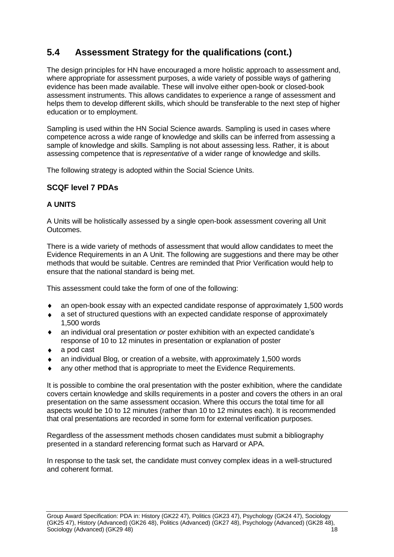# <span id="page-19-0"></span>**5.4 Assessment Strategy for the qualifications (cont.)**

The design principles for HN have encouraged a more holistic approach to assessment and, where appropriate for assessment purposes, a wide variety of possible ways of gathering evidence has been made available. These will involve either open-book or closed-book assessment instruments. This allows candidates to experience a range of assessment and helps them to develop different skills, which should be transferable to the next step of higher education or to employment.

Sampling is used within the HN Social Science awards. Sampling is used in cases where competence across a wide range of knowledge and skills can be inferred from assessing a sample of knowledge and skills. Sampling is not about assessing less. Rather, it is about assessing competence that is *representative* of a wider range of knowledge and skills.

The following strategy is adopted within the Social Science Units.

### **SCQF level 7 PDAs**

#### **A UNITS**

A Units will be holistically assessed by a single open-book assessment covering all Unit Outcomes.

There is a wide variety of methods of assessment that would allow candidates to meet the Evidence Requirements in an A Unit. The following are suggestions and there may be other methods that would be suitable. Centres are reminded that Prior Verification would help to ensure that the national standard is being met.

This assessment could take the form of one of the following:

- an open-book essay with an expected candidate response of approximately 1,500 words
- a set of structured questions with an expected candidate response of approximately 1,500 words
- an individual oral presentation *or* poster exhibition with an expected candidate's response of 10 to 12 minutes in presentation or explanation of poster
- a pod cast
- an individual Blog, or creation of a website, with approximately 1,500 words
- any other method that is appropriate to meet the Evidence Requirements.

It is possible to combine the oral presentation with the poster exhibition, where the candidate covers certain knowledge and skills requirements in a poster and covers the others in an oral presentation on the same assessment occasion. Where this occurs the total time for all aspects would be 10 to 12 minutes (rather than 10 to 12 minutes each). It is recommended that oral presentations are recorded in some form for external verification purposes.

Regardless of the assessment methods chosen candidates must submit a bibliography presented in a standard referencing format such as Harvard or APA.

In response to the task set, the candidate must convey complex ideas in a well-structured and coherent format.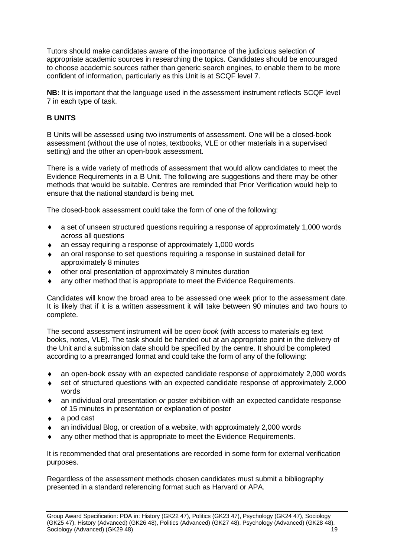Tutors should make candidates aware of the importance of the judicious selection of appropriate academic sources in researching the topics. Candidates should be encouraged to choose academic sources rather than generic search engines, to enable them to be more confident of information, particularly as this Unit is at SCQF level 7.

**NB:** It is important that the language used in the assessment instrument reflects SCQF level 7 in each type of task.

#### **B UNITS**

B Units will be assessed using two instruments of assessment. One will be a closed-book assessment (without the use of notes, textbooks, VLE or other materials in a supervised setting) and the other an open-book assessment.

There is a wide variety of methods of assessment that would allow candidates to meet the Evidence Requirements in a B Unit. The following are suggestions and there may be other methods that would be suitable. Centres are reminded that Prior Verification would help to ensure that the national standard is being met.

The closed-book assessment could take the form of one of the following:

- a set of unseen structured questions requiring a response of approximately 1,000 words  $\bullet$ across all questions
- an essay requiring a response of approximately 1,000 words
- an oral response to set questions requiring a response in sustained detail for approximately 8 minutes
- other oral presentation of approximately 8 minutes duration
- any other method that is appropriate to meet the Evidence Requirements.

Candidates will know the broad area to be assessed one week prior to the assessment date. It is likely that if it is a written assessment it will take between 90 minutes and two hours to complete.

The second assessment instrument will be *open book* (with access to materials eg text books, notes, VLE). The task should be handed out at an appropriate point in the delivery of the Unit and a submission date should be specified by the centre. It should be completed according to a prearranged format and could take the form of any of the following:

- an open-book essay with an expected candidate response of approximately 2,000 words
- set of structured questions with an expected candidate response of approximately 2,000  $\bullet$ words
- an individual oral presentation *or* poster exhibition with an expected candidate response  $\blacklozenge$ of 15 minutes in presentation or explanation of poster
- a pod cast
- an individual Blog, or creation of a website, with approximately 2,000 words
- any other method that is appropriate to meet the Evidence Requirements.

It is recommended that oral presentations are recorded in some form for external verification purposes.

Regardless of the assessment methods chosen candidates must submit a bibliography presented in a standard referencing format such as Harvard or APA.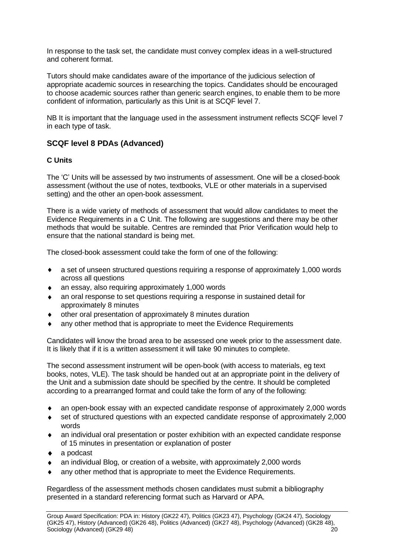In response to the task set, the candidate must convey complex ideas in a well-structured and coherent format.

Tutors should make candidates aware of the importance of the judicious selection of appropriate academic sources in researching the topics. Candidates should be encouraged to choose academic sources rather than generic search engines, to enable them to be more confident of information, particularly as this Unit is at SCQF level 7.

NB It is important that the language used in the assessment instrument reflects SCQF level 7 in each type of task.

#### **SCQF level 8 PDAs (Advanced)**

#### **C Units**

The 'C' Units will be assessed by two instruments of assessment. One will be a closed-book assessment (without the use of notes, textbooks, VLE or other materials in a supervised setting) and the other an open-book assessment.

There is a wide variety of methods of assessment that would allow candidates to meet the Evidence Requirements in a C Unit. The following are suggestions and there may be other methods that would be suitable. Centres are reminded that Prior Verification would help to ensure that the national standard is being met.

The closed-book assessment could take the form of one of the following:

- a set of unseen structured questions requiring a response of approximately 1,000 words  $\bullet$ across all questions
- an essay, also requiring approximately 1,000 words
- an oral response to set questions requiring a response in sustained detail for approximately 8 minutes
- other oral presentation of approximately 8 minutes duration
- any other method that is appropriate to meet the Evidence Requirements

Candidates will know the broad area to be assessed one week prior to the assessment date. It is likely that if it is a written assessment it will take 90 minutes to complete.

The second assessment instrument will be open-book (with access to materials, eg text books, notes, VLE). The task should be handed out at an appropriate point in the delivery of the Unit and a submission date should be specified by the centre. It should be completed according to a prearranged format and could take the form of any of the following:

- an open-book essay with an expected candidate response of approximately 2,000 words
- set of structured questions with an expected candidate response of approximately 2,000 words
- an individual oral presentation or poster exhibition with an expected candidate response of 15 minutes in presentation or explanation of poster
- a podcast
- an individual Blog, or creation of a website, with approximately 2,000 words
- any other method that is appropriate to meet the Evidence Requirements.

Regardless of the assessment methods chosen candidates must submit a bibliography presented in a standard referencing format such as Harvard or APA.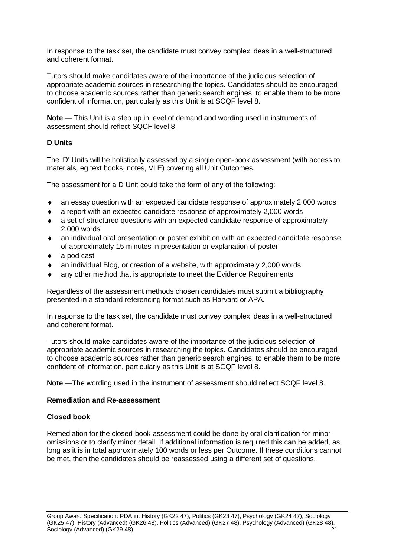In response to the task set, the candidate must convey complex ideas in a well-structured and coherent format.

Tutors should make candidates aware of the importance of the judicious selection of appropriate academic sources in researching the topics. Candidates should be encouraged to choose academic sources rather than generic search engines, to enable them to be more confident of information, particularly as this Unit is at SCQF level 8.

**Note** — This Unit is a step up in level of demand and wording used in instruments of assessment should reflect SQCF level 8.

#### **D Units**

The 'D' Units will be holistically assessed by a single open-book assessment (with access to materials, eg text books, notes, VLE) covering all Unit Outcomes.

The assessment for a D Unit could take the form of any of the following:

- an essay question with an expected candidate response of approximately 2,000 words
- a report with an expected candidate response of approximately 2,000 words
- a set of structured questions with an expected candidate response of approximately 2,000 words
- an individual oral presentation or poster exhibition with an expected candidate response of approximately 15 minutes in presentation or explanation of poster
- a pod cast
- an individual Blog, or creation of a website, with approximately 2,000 words
- any other method that is appropriate to meet the Evidence Requirements

Regardless of the assessment methods chosen candidates must submit a bibliography presented in a standard referencing format such as Harvard or APA.

In response to the task set, the candidate must convey complex ideas in a well-structured and coherent format.

Tutors should make candidates aware of the importance of the judicious selection of appropriate academic sources in researching the topics. Candidates should be encouraged to choose academic sources rather than generic search engines, to enable them to be more confident of information, particularly as this Unit is at SCQF level 8.

**Note** —The wording used in the instrument of assessment should reflect SCQF level 8.

#### **Remediation and Re-assessment**

#### **Closed book**

Remediation for the closed-book assessment could be done by oral clarification for minor omissions or to clarify minor detail. If additional information is required this can be added, as long as it is in total approximately 100 words or less per Outcome. If these conditions cannot be met, then the candidates should be reassessed using a different set of questions.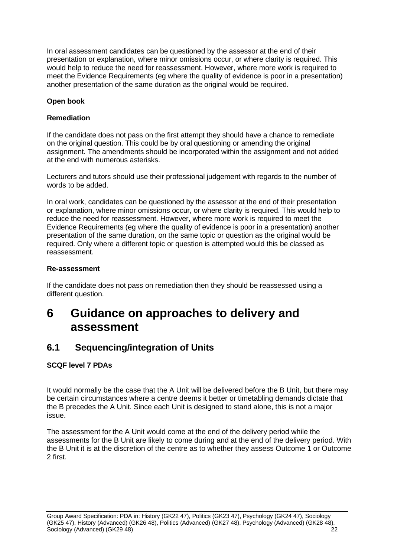In oral assessment candidates can be questioned by the assessor at the end of their presentation or explanation, where minor omissions occur, or where clarity is required. This would help to reduce the need for reassessment. However, where more work is required to meet the Evidence Requirements (eg where the quality of evidence is poor in a presentation) another presentation of the same duration as the original would be required.

#### **Open book**

#### **Remediation**

If the candidate does not pass on the first attempt they should have a chance to remediate on the original question. This could be by oral questioning or amending the original assignment. The amendments should be incorporated within the assignment and not added at the end with numerous asterisks.

Lecturers and tutors should use their professional judgement with regards to the number of words to be added.

In oral work, candidates can be questioned by the assessor at the end of their presentation or explanation, where minor omissions occur, or where clarity is required. This would help to reduce the need for reassessment. However, where more work is required to meet the Evidence Requirements (eg where the quality of evidence is poor in a presentation) another presentation of the same duration, on the same topic or question as the original would be required. Only where a different topic or question is attempted would this be classed as reassessment.

#### **Re-assessment**

If the candidate does not pass on remediation then they should be reassessed using a different question.

# <span id="page-23-0"></span>**6 Guidance on approaches to delivery and assessment**

### <span id="page-23-1"></span>**6.1 Sequencing/integration of Units**

#### **SCQF level 7 PDAs**

It would normally be the case that the A Unit will be delivered before the B Unit, but there may be certain circumstances where a centre deems it better or timetabling demands dictate that the B precedes the A Unit. Since each Unit is designed to stand alone, this is not a major issue.

The assessment for the A Unit would come at the end of the delivery period while the assessments for the B Unit are likely to come during and at the end of the delivery period. With the B Unit it is at the discretion of the centre as to whether they assess Outcome 1 or Outcome 2 first.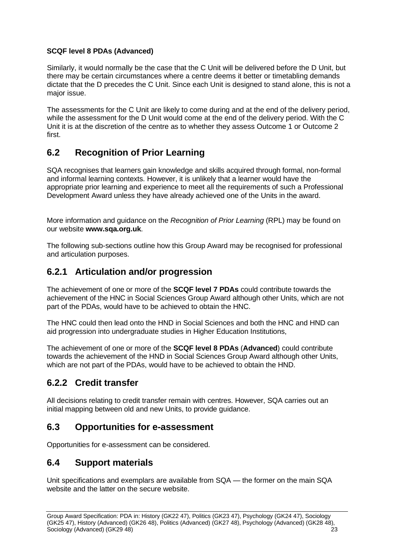#### **SCQF level 8 PDAs (Advanced)**

Similarly, it would normally be the case that the C Unit will be delivered before the D Unit, but there may be certain circumstances where a centre deems it better or timetabling demands dictate that the D precedes the C Unit. Since each Unit is designed to stand alone, this is not a major issue.

The assessments for the C Unit are likely to come during and at the end of the delivery period, while the assessment for the D Unit would come at the end of the delivery period. With the C Unit it is at the discretion of the centre as to whether they assess Outcome 1 or Outcome 2 first.

## <span id="page-24-0"></span>**6.2 Recognition of Prior Learning**

SQA recognises that learners gain knowledge and skills acquired through formal, non-formal and informal learning contexts. However, it is unlikely that a learner would have the appropriate prior learning and experience to meet all the requirements of such a Professional Development Award unless they have already achieved one of the Units in the award.

More information and guidance on the *Recognition of Prior Learning* (RPL) may be found on our website **[www.sqa.org.uk](http://www.sqa.org.uk/)**.

The following sub-sections outline how this Group Award may be recognised for professional and articulation purposes.

### <span id="page-24-1"></span>**6.2.1 Articulation and/or progression**

The achievement of one or more of the **SCQF level 7 PDAs** could contribute towards the achievement of the HNC in Social Sciences Group Award although other Units, which are not part of the PDAs, would have to be achieved to obtain the HNC.

The HNC could then lead onto the HND in Social Sciences and both the HNC and HND can aid progression into undergraduate studies in Higher Education Institutions,

The achievement of one or more of the **SCQF level 8 PDAs** (**Advanced**) could contribute towards the achievement of the HND in Social Sciences Group Award although other Units, which are not part of the PDAs, would have to be achieved to obtain the HND.

### <span id="page-24-2"></span>**6.2.2 Credit transfer**

All decisions relating to credit transfer remain with centres. However, SQA carries out an initial mapping between old and new Units, to provide guidance.

### <span id="page-24-3"></span>**6.3 Opportunities for e-assessment**

Opportunities for e-assessment can be considered.

### <span id="page-24-4"></span>**6.4 Support materials**

Unit specifications and exemplars are available from SQA — the former on the main SQA website and the latter on the secure website.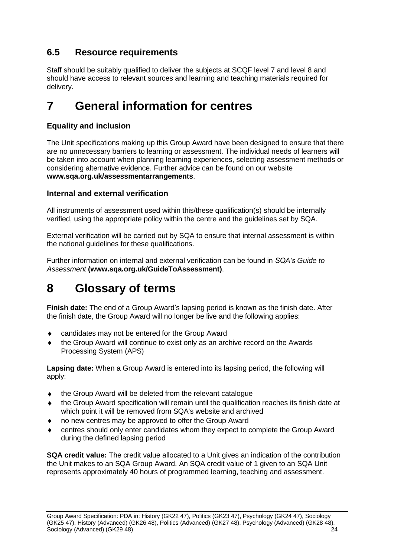# <span id="page-25-0"></span>**6.5 Resource requirements**

Staff should be suitably qualified to deliver the subjects at SCQF level 7 and level 8 and should have access to relevant sources and learning and teaching materials required for delivery.

# <span id="page-25-1"></span>**7 General information for centres**

### **Equality and inclusion**

The Unit specifications making up this Group Award have been designed to ensure that there are no unnecessary barriers to learning or assessment. The individual needs of learners will be taken into account when planning learning experiences, selecting assessment methods or considering alternative evidence. Further advice can be found on our website **[www.sqa.org.uk/assessmentarrangements](http://www.sqa.org.uk/sqa/14977.html)**.

#### **Internal and external verification**

All instruments of assessment used within this/these qualification(s) should be internally verified, using the appropriate policy within the centre and the guidelines set by SQA.

External verification will be carried out by SQA to ensure that internal assessment is within the national guidelines for these qualifications.

Further information on internal and external verification can be found in *SQA's Guide to Assessment* **[\(www.sqa.org.uk/GuideToAssessment\)](http://www.sqa.org.uk/sqa/files_ccc/GuideToAssessment.pdf)**.

# <span id="page-25-2"></span>**8 Glossary of terms**

**Finish date:** The end of a Group Award's lapsing period is known as the finish date. After the finish date, the Group Award will no longer be live and the following applies:

- candidates may not be entered for the Group Award
- the Group Award will continue to exist only as an archive record on the Awards Processing System (APS)

**Lapsing date:** When a Group Award is entered into its lapsing period, the following will apply:

- the Group Award will be deleted from the relevant catalogue
- the Group Award specification will remain until the qualification reaches its finish date at which point it will be removed from SQA's website and archived
- no new centres may be approved to offer the Group Award
- centres should only enter candidates whom they expect to complete the Group Award during the defined lapsing period

**SQA credit value:** The credit value allocated to a Unit gives an indication of the contribution the Unit makes to an SQA Group Award. An SQA credit value of 1 given to an SQA Unit represents approximately 40 hours of programmed learning, teaching and assessment.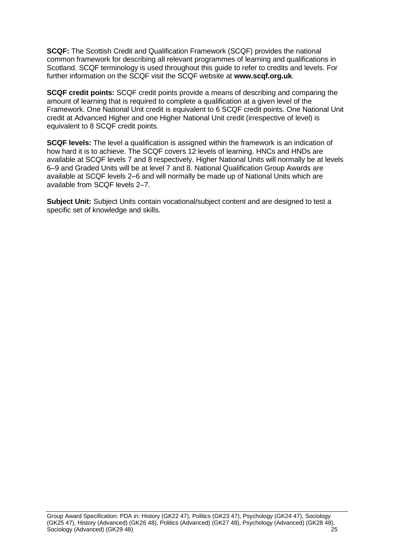**SCQF:** The Scottish Credit and Qualification Framework (SCQF) provides the national common framework for describing all relevant programmes of learning and qualifications in Scotland. SCQF terminology is used throughout this guide to refer to credits and levels. For further information on the SCQF visit the SCQF website at **[www.scqf.org.uk](http://www.scqf.org.uk/)**.

**SCQF credit points:** SCQF credit points provide a means of describing and comparing the amount of learning that is required to complete a qualification at a given level of the Framework. One National Unit credit is equivalent to 6 SCQF credit points. One National Unit credit at Advanced Higher and one Higher National Unit credit (irrespective of level) is equivalent to 8 SCQF credit points.

**SCQF levels:** The level a qualification is assigned within the framework is an indication of how hard it is to achieve. The SCQF covers 12 levels of learning. HNCs and HNDs are available at SCQF levels 7 and 8 respectively. Higher National Units will normally be at levels 6–9 and Graded Units will be at level 7 and 8. National Qualification Group Awards are available at SCQF levels 2–6 and will normally be made up of National Units which are available from SCQF levels 2–7.

**Subject Unit:** Subject Units contain vocational/subject content and are designed to test a specific set of knowledge and skills.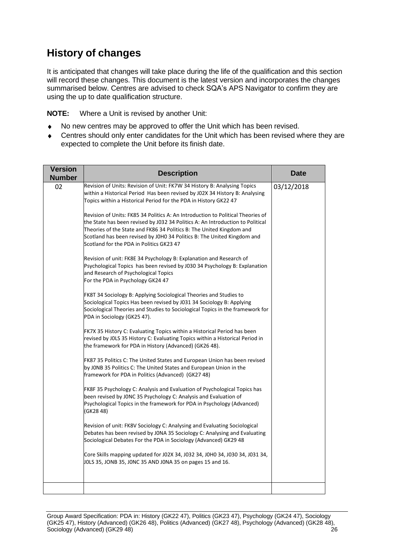# **History of changes**

It is anticipated that changes will take place during the life of the qualification and this section will record these changes. This document is the latest version and incorporates the changes summarised below. Centres are advised to check SQA's APS Navigator to confirm they are using the up to date qualification structure.

**NOTE:** Where a Unit is revised by another Unit:

- No new centres may be approved to offer the Unit which has been revised.  $\bullet$
- Centres should only enter candidates for the Unit which has been revised where they are  $\bullet$ expected to complete the Unit before its finish date.

| <b>Version</b><br><b>Number</b> | <b>Description</b>                                                                                                                                                                                                                                                                                                                                               | Date       |
|---------------------------------|------------------------------------------------------------------------------------------------------------------------------------------------------------------------------------------------------------------------------------------------------------------------------------------------------------------------------------------------------------------|------------|
| 02                              | Revision of Units: Revision of Unit: FK7W 34 History B: Analysing Topics<br>within a Historical Period Has been revised by J02X 34 History B: Analysing<br>Topics within a Historical Period for the PDA in History GK22 47                                                                                                                                      | 03/12/2018 |
|                                 | Revision of Units: FK85 34 Politics A: An Introduction to Political Theories of<br>the State has been revised by J032 34 Politics A: An Introduction to Political<br>Theories of the State and FK86 34 Politics B: The United Kingdom and<br>Scotland has been revised by JOHO 34 Politics B: The United Kingdom and<br>Scotland for the PDA in Politics GK23 47 |            |
|                                 | Revision of unit: FK8E 34 Psychology B: Explanation and Research of<br>Psychological Topics has been revised by J030 34 Psychology B: Explanation<br>and Research of Psychological Topics<br>For the PDA in Psychology GK24 47                                                                                                                                   |            |
|                                 | FK8T 34 Sociology B: Applying Sociological Theories and Studies to<br>Sociological Topics Has been revised by J031 34 Sociology B: Applying<br>Sociological Theories and Studies to Sociological Topics in the framework for<br>PDA in Sociology (GK25 47).                                                                                                      |            |
|                                 | FK7X 35 History C: Evaluating Topics within a Historical Period has been<br>revised by JOLS 35 History C: Evaluating Topics within a Historical Period in<br>the framework for PDA in History (Advanced) (GK26 48).                                                                                                                                              |            |
|                                 | FK87 35 Politics C: The United States and European Union has been revised<br>by JONB 35 Politics C: The United States and European Union in the<br>framework for PDA in Politics (Advanced) (GK27 48)                                                                                                                                                            |            |
|                                 | FK8F 35 Psychology C: Analysis and Evaluation of Psychological Topics has<br>been revised by JONC 35 Psychology C: Analysis and Evaluation of<br>Psychological Topics in the framework for PDA in Psychology (Advanced)<br>(GK28 48)                                                                                                                             |            |
|                                 | Revision of unit: FK8V Sociology C: Analysing and Evaluating Sociological<br>Debates has been revised by JONA 35 Sociology C: Analysing and Evaluating<br>Sociological Debates For the PDA in Sociology (Advanced) GK29 48                                                                                                                                       |            |
|                                 | Core Skills mapping updated for J02X 34, J032 34, J0H0 34, J030 34, J031 34,<br>JOLS 35, JONB 35, JONC 35 AND JONA 35 on pages 15 and 16.                                                                                                                                                                                                                        |            |
|                                 |                                                                                                                                                                                                                                                                                                                                                                  |            |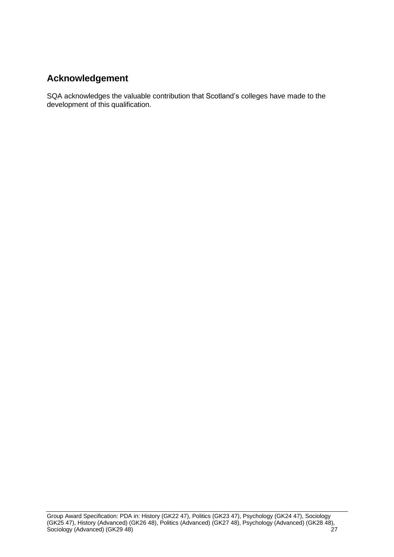# **Acknowledgement**

SQA acknowledges the valuable contribution that Scotland's colleges have made to the development of this qualification.

Group Award Specification: PDA in: History (GK22 47), Politics (GK23 47), Psychology (GK24 47), Sociology (GK25 47), History (Advanced) (GK26 48), Politics (Advanced) (GK27 48), Psychology (Advanced) (GK28 48), Sociology (Advanced) (GK29 48)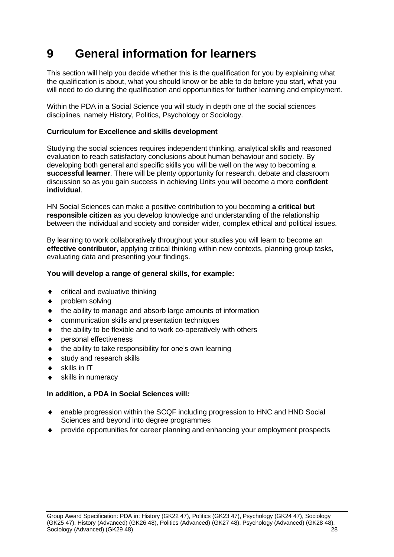# <span id="page-29-0"></span>**9 General information for learners**

This section will help you decide whether this is the qualification for you by explaining what the qualification is about, what you should know or be able to do before you start, what you will need to do during the qualification and opportunities for further learning and employment.

Within the PDA in a Social Science you will study in depth one of the social sciences disciplines, namely History, Politics, Psychology or Sociology.

#### **Curriculum for Excellence and skills development**

Studying the social sciences requires independent thinking, analytical skills and reasoned evaluation to reach satisfactory conclusions about human behaviour and society. By developing both general and specific skills you will be well on the way to becoming a **successful learner**. There will be plenty opportunity for research, debate and classroom discussion so as you gain success in achieving Units you will become a more **confident individual**.

HN Social Sciences can make a positive contribution to you becoming **a critical but responsible citizen** as you develop knowledge and understanding of the relationship between the individual and society and consider wider, complex ethical and political issues.

By learning to work collaboratively throughout your studies you will learn to become an **effective contributor**, applying critical thinking within new contexts, planning group tasks, evaluating data and presenting your findings.

#### **You will develop a range of general skills, for example:**

- critical and evaluative thinking
- ▲ problem solving
- the ability to manage and absorb large amounts of information
- communication skills and presentation techniques
- the ability to be flexible and to work co-operatively with others
- personal effectiveness
- the ability to take responsibility for one's own learning
- study and research skills
- skills in IT
- skills in numeracy

#### **In addition, a PDA in Social Sciences will***:*

- enable progression within the SCQF including progression to HNC and HND Social Sciences and beyond into degree programmes
- provide opportunities for career planning and enhancing your employment prospects